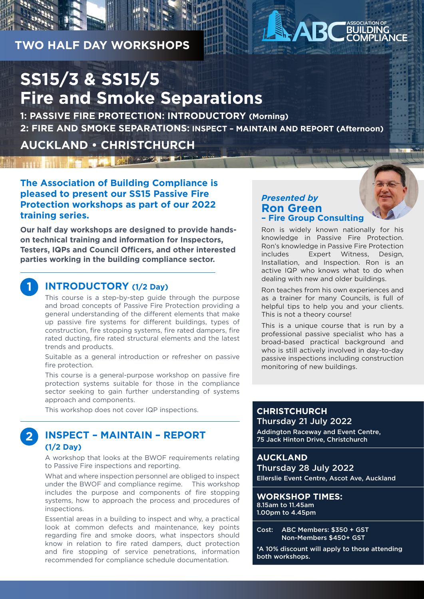# **TWO HALF DAY WORKSHOPS**

# **SS15/3 & SS15/5 Fire and Smoke Separations**

☆ マント

**1: PASSIVE FIRE PROTECTION: INTRODUCTORY (Morning) 2: FIRE AND SMOKE SEPARATIONS: INSPECT – MAINTAIN AND REPORT (Afternoon)**

# **AUCKLAND • CHRISTCHURCH**

**The Association of Building Compliance is pleased to present our SS15 Passive Fire Protection workshops as part of our 2022 training series.**

**Our half day workshops are designed to provide handson technical training and information for Inspectors, Testers, IQPs and Council Officers, and other interested parties working in the building compliance sector.**

#### **INTRODUCTORY (1/2 Day)**

**1**

**2**

This course is a step-by-step guide through the purpose and broad concepts of Passive Fire Protection providing a general understanding of the different elements that make up passive fire systems for different buildings, types of construction, fire stopping systems, fire rated dampers, fire rated ducting, fire rated structural elements and the latest trends and products.

Suitable as a general introduction or refresher on passive fire protection.

This course is a general-purpose workshop on passive fire protection systems suitable for those in the compliance sector seeking to gain further understanding of systems approach and components.

This workshop does not cover IQP inspections.

## **INSPECT – MAINTAIN – REPORT (1/2 Day)**

A workshop that looks at the BWOF requirements relating to Passive Fire inspections and reporting.

What and where inspection personnel are obliged to inspect under the BWOF and compliance regime. This workshop includes the purpose and components of fire stopping systems, how to approach the process and procedures of inspections.

Essential areas in a building to inspect and why, a practical look at common defects and maintenance, key points regarding fire and smoke doors, what inspectors should know in relation to fire rated dampers, duct protection and fire stopping of service penetrations, information recommended for compliance schedule documentation.

#### *Presented by*  **Ron Green – Fire Group Consulting**

Ron is widely known nationally for his knowledge in Passive Fire Protection. Ron's knowledge in Passive Fire Protection includes Expert Witness, Design, Installation, and Inspection. Ron is an active IQP who knows what to do when dealing with new and older buildings.

**ASSOCIATION OF BUILDING COMPLIANCE**

Ron teaches from his own experiences and as a trainer for many Councils, is full of helpful tips to help you and your clients. This is not a theory course!

This is a unique course that is run by a professional passive specialist who has a broad-based practical background and who is still actively involved in day-to-day passive inspections including construction monitoring of new buildings.

#### **CHRISTCHURCH** Thursday 21 July 2022

Addington Raceway and Event Centre, 75 Jack Hinton Drive, Christchurch

#### **AUCKLAND**

Thursday 28 July 2022 Ellerslie Event Centre, Ascot Ave, Auckland

**WORKSHOP TIMES:** 8.15am to 11.45am 1.00pm to 4.45pm

Cost: ABC Members: \$350 + GST Non-Members \$450+ GST

\*A 10% discount will apply to those attending both workshops.